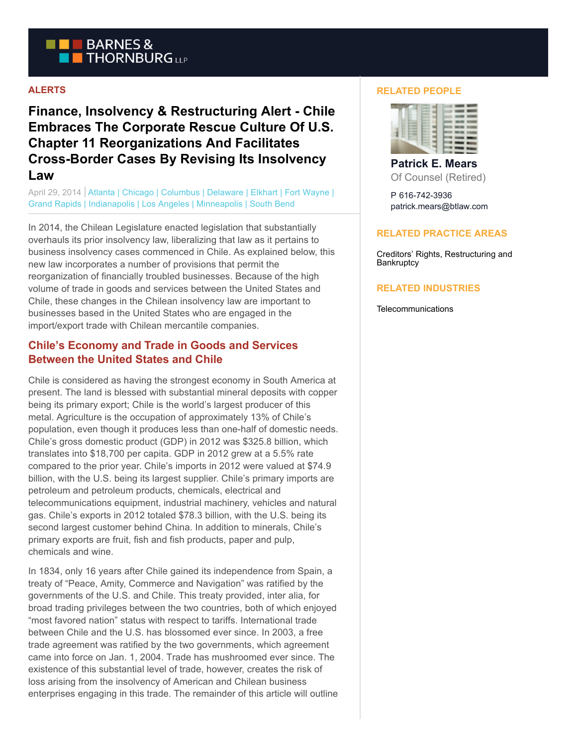

#### **ALERTS**

**Finance, Insolvency & Restructuring Alert - Chile Embraces The Corporate Rescue Culture Of U.S. Chapter 11 Reorganizations And Facilitates Cross-Border Cases By Revising Its Insolvency Law**

April 29, 2014 | Atlanta | Chicago | Columbus | Delaware | Elkhart | Fort Wayne | Grand Rapids | Indianapolis | Los Angeles | Minneapolis | South Bend

In 2014, the Chilean Legislature enacted legislation that substantially overhauls its prior insolvency law, liberalizing that law as it pertains to business insolvency cases commenced in Chile. As explained below, this new law incorporates a number of provisions that permit the reorganization of financially troubled businesses. Because of the high volume of trade in goods and services between the United States and Chile, these changes in the Chilean insolvency law are important to businesses based in the United States who are engaged in the import/export trade with Chilean mercantile companies.

# **Chile's Economy and Trade in Goods and Services Between the United States and Chile**

Chile is considered as having the strongest economy in South America at present. The land is blessed with substantial mineral deposits with copper being its primary export; Chile is the world's largest producer of this metal. Agriculture is the occupation of approximately 13% of Chile's population, even though it produces less than one-half of domestic needs. Chile's gross domestic product (GDP) in 2012 was \$325.8 billion, which translates into \$18,700 per capita. GDP in 2012 grew at a 5.5% rate compared to the prior year. Chile's imports in 2012 were valued at \$74.9 billion, with the U.S. being its largest supplier. Chile's primary imports are petroleum and petroleum products, chemicals, electrical and telecommunications equipment, industrial machinery, vehicles and natural gas. Chile's exports in 2012 totaled \$78.3 billion, with the U.S. being its second largest customer behind China. In addition to minerals, Chile's primary exports are fruit, fish and fish products, paper and pulp, chemicals and wine.

In 1834, only 16 years after Chile gained its independence from Spain, a treaty of "Peace, Amity, Commerce and Navigation" was ratified by the governments of the U.S. and Chile. This treaty provided, inter alia, for broad trading privileges between the two countries, both of which enjoyed "most favored nation" status with respect to tariffs. International trade between Chile and the U.S. has blossomed ever since. In 2003, a free trade agreement was ratified by the two governments, which agreement came into force on Jan. 1, 2004. Trade has mushroomed ever since. The existence of this substantial level of trade, however, creates the risk of loss arising from the insolvency of American and Chilean business enterprises engaging in this trade. The remainder of this article will outline

#### **RELATED PEOPLE**



**Patrick E. Mears** Of Counsel (Retired)

P 616-742-3936 patrick.mears@btlaw.com

#### **RELATED PRACTICE AREAS**

Creditors' Rights, Restructuring and **Bankruptcy** 

#### **RELATED INDUSTRIES**

**Telecommunications**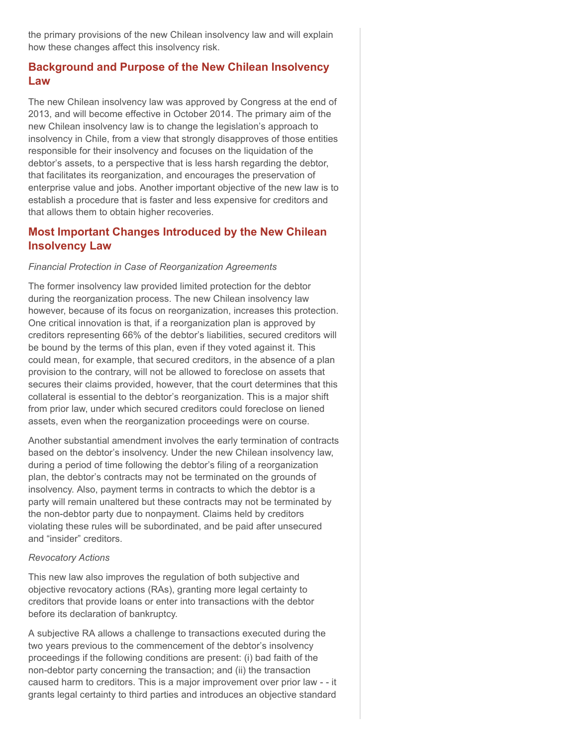the primary provisions of the new Chilean insolvency law and will explain how these changes affect this insolvency risk.

# **Background and Purpose of the New Chilean Insolvency Law**

The new Chilean insolvency law was approved by Congress at the end of 2013, and will become effective in October 2014. The primary aim of the new Chilean insolvency law is to change the legislation's approach to insolvency in Chile, from a view that strongly disapproves of those entities responsible for their insolvency and focuses on the liquidation of the debtor's assets, to a perspective that is less harsh regarding the debtor, that facilitates its reorganization, and encourages the preservation of enterprise value and jobs. Another important objective of the new law is to establish a procedure that is faster and less expensive for creditors and that allows them to obtain higher recoveries.

# **Most Important Changes Introduced by the New Chilean Insolvency Law**

## *Financial Protection in Case of Reorganization Agreements*

The former insolvency law provided limited protection for the debtor during the reorganization process. The new Chilean insolvency law however, because of its focus on reorganization, increases this protection. One critical innovation is that, if a reorganization plan is approved by creditors representing 66% of the debtor's liabilities, secured creditors will be bound by the terms of this plan, even if they voted against it. This could mean, for example, that secured creditors, in the absence of a plan provision to the contrary, will not be allowed to foreclose on assets that secures their claims provided, however, that the court determines that this collateral is essential to the debtor's reorganization. This is a major shift from prior law, under which secured creditors could foreclose on liened assets, even when the reorganization proceedings were on course.

Another substantial amendment involves the early termination of contracts based on the debtor's insolvency. Under the new Chilean insolvency law, during a period of time following the debtor's filing of a reorganization plan, the debtor's contracts may not be terminated on the grounds of insolvency. Also, payment terms in contracts to which the debtor is a party will remain unaltered but these contracts may not be terminated by the non-debtor party due to nonpayment. Claims held by creditors violating these rules will be subordinated, and be paid after unsecured and "insider" creditors.

#### *Revocatory Actions*

This new law also improves the regulation of both subjective and objective revocatory actions (RAs), granting more legal certainty to creditors that provide loans or enter into transactions with the debtor before its declaration of bankruptcy.

A subjective RA allows a challenge to transactions executed during the two years previous to the commencement of the debtor's insolvency proceedings if the following conditions are present: (i) bad faith of the non-debtor party concerning the transaction; and (ii) the transaction caused harm to creditors. This is a major improvement over prior law - - it grants legal certainty to third parties and introduces an objective standard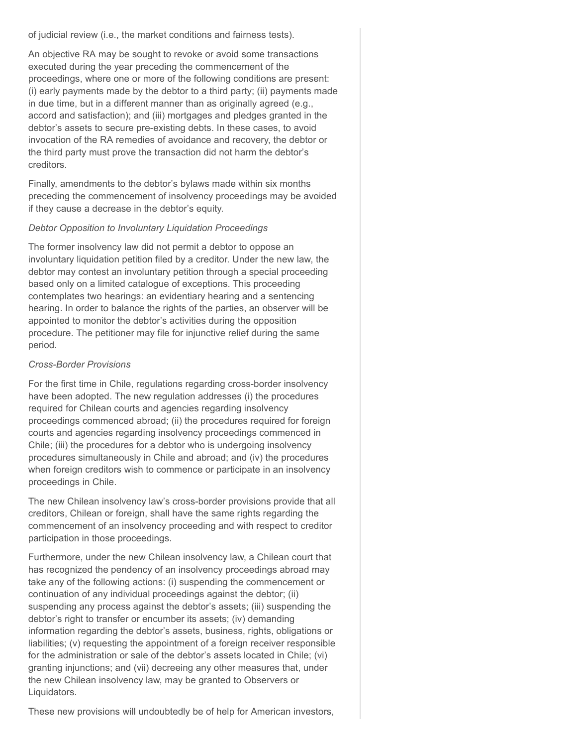of judicial review (i.e., the market conditions and fairness tests).

An objective RA may be sought to revoke or avoid some transactions executed during the year preceding the commencement of the proceedings, where one or more of the following conditions are present: (i) early payments made by the debtor to a third party; (ii) payments made in due time, but in a different manner than as originally agreed (e.g., accord and satisfaction); and (iii) mortgages and pledges granted in the debtor's assets to secure pre-existing debts. In these cases, to avoid invocation of the RA remedies of avoidance and recovery, the debtor or the third party must prove the transaction did not harm the debtor's creditors.

Finally, amendments to the debtor's bylaws made within six months preceding the commencement of insolvency proceedings may be avoided if they cause a decrease in the debtor's equity.

#### *Debtor Opposition to Involuntary Liquidation Proceedings*

The former insolvency law did not permit a debtor to oppose an involuntary liquidation petition filed by a creditor. Under the new law, the debtor may contest an involuntary petition through a special proceeding based only on a limited catalogue of exceptions. This proceeding contemplates two hearings: an evidentiary hearing and a sentencing hearing. In order to balance the rights of the parties, an observer will be appointed to monitor the debtor's activities during the opposition procedure. The petitioner may file for injunctive relief during the same period.

### *Cross-Border Provisions*

For the first time in Chile, regulations regarding cross-border insolvency have been adopted. The new regulation addresses (i) the procedures required for Chilean courts and agencies regarding insolvency proceedings commenced abroad; (ii) the procedures required for foreign courts and agencies regarding insolvency proceedings commenced in Chile; (iii) the procedures for a debtor who is undergoing insolvency procedures simultaneously in Chile and abroad; and (iv) the procedures when foreign creditors wish to commence or participate in an insolvency proceedings in Chile.

The new Chilean insolvency law's cross-border provisions provide that all creditors, Chilean or foreign, shall have the same rights regarding the commencement of an insolvency proceeding and with respect to creditor participation in those proceedings.

Furthermore, under the new Chilean insolvency law, a Chilean court that has recognized the pendency of an insolvency proceedings abroad may take any of the following actions: (i) suspending the commencement or continuation of any individual proceedings against the debtor; (ii) suspending any process against the debtor's assets; (iii) suspending the debtor's right to transfer or encumber its assets; (iv) demanding information regarding the debtor's assets, business, rights, obligations or liabilities; (v) requesting the appointment of a foreign receiver responsible for the administration or sale of the debtor's assets located in Chile; (vi) granting injunctions; and (vii) decreeing any other measures that, under the new Chilean insolvency law, may be granted to Observers or Liquidators.

These new provisions will undoubtedly be of help for American investors,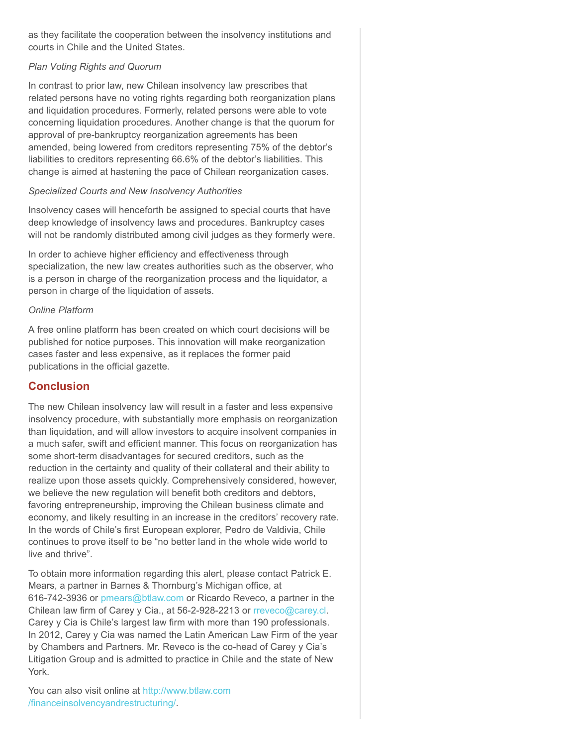as they facilitate the cooperation between the insolvency institutions and courts in Chile and the United States.

## *Plan Voting Rights and Quorum*

In contrast to prior law, new Chilean insolvency law prescribes that related persons have no voting rights regarding both reorganization plans and liquidation procedures. Formerly, related persons were able to vote concerning liquidation procedures. Another change is that the quorum for approval of pre-bankruptcy reorganization agreements has been amended, being lowered from creditors representing 75% of the debtor's liabilities to creditors representing 66.6% of the debtor's liabilities. This change is aimed at hastening the pace of Chilean reorganization cases.

## *Specialized Courts and New Insolvency Authorities*

Insolvency cases will henceforth be assigned to special courts that have deep knowledge of insolvency laws and procedures. Bankruptcy cases will not be randomly distributed among civil judges as they formerly were.

In order to achieve higher efficiency and effectiveness through specialization, the new law creates authorities such as the observer, who is a person in charge of the reorganization process and the liquidator, a person in charge of the liquidation of assets.

### *Online Platform*

A free online platform has been created on which court decisions will be published for notice purposes. This innovation will make reorganization cases faster and less expensive, as it replaces the former paid publications in the official gazette.

# **Conclusion**

The new Chilean insolvency law will result in a faster and less expensive insolvency procedure, with substantially more emphasis on reorganization than liquidation, and will allow investors to acquire insolvent companies in a much safer, swift and efficient manner. This focus on reorganization has some short-term disadvantages for secured creditors, such as the reduction in the certainty and quality of their collateral and their ability to realize upon those assets quickly. Comprehensively considered, however, we believe the new regulation will benefit both creditors and debtors, favoring entrepreneurship, improving the Chilean business climate and economy, and likely resulting in an increase in the creditors' recovery rate. In the words of Chile's first European explorer, Pedro de Valdivia, Chile continues to prove itself to be "no better land in the whole wide world to live and thrive".

To obtain more information regarding this alert, please contact Patrick E. Mears, a partner in Barnes & Thornburg's Michigan office, at 616-742-3936 or [pmears@btlaw.com o](mailto:pmears@btlaw.com)r Ricardo Reveco, a partner in the Chilean law firm of Carey y Cia., at 56-2-928-2213 or [rreveco@carey.cl.](mailto:rreveco@carey.cl) Carey y Cia is Chile's largest law firm with more than 190 professionals. In 2012, Carey y Cia was named the Latin American Law Firm of the year by Chambers and Partners. Mr. Reveco is the co-head of Carey y Cia's Litigation Group and is admitted to practice in Chile and the state of New York.

You can also visit online at [http://www.btlaw.com](http://www.btlaw.com/financeinsolvencyandrestructuring/) /financeinsolvencyandrestructuring/.